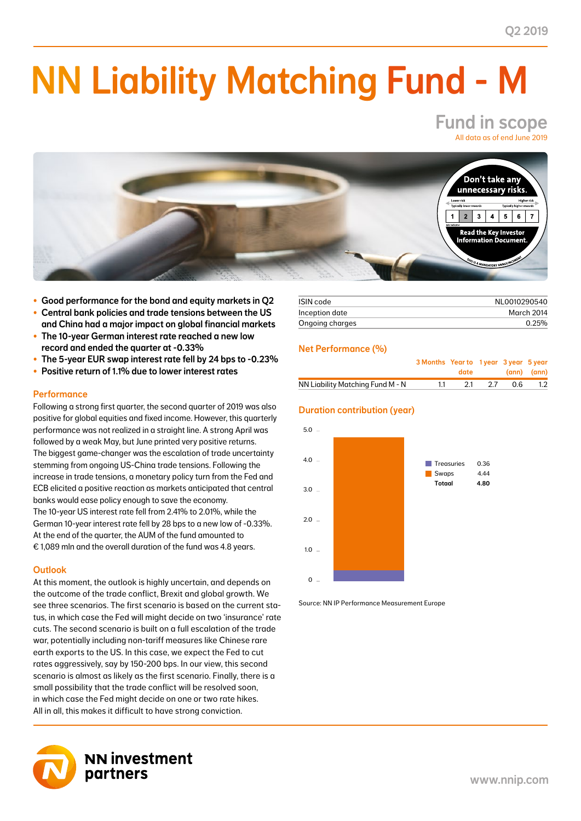# NN Liability Matching Fund - M

## Fund in scope All data as of end June 2019



- Good performance for the bond and equity markets in Q2
- Central bank policies and trade tensions between the US and China had a major impact on global financial markets
- The 10-year German interest rate reached a new low record and ended the quarter at -0.33%
- The 5-year EUR swap interest rate fell by 24 bps to -0.23%
- Positive return of 1.1% due to lower interest rates

#### **Performance**

Following a strong first quarter, the second quarter of 2019 was also positive for global equities and fixed income. However, this quarterly performance was not realized in a straight line. A strong April was followed by a weak May, but June printed very positive returns. The biggest game-changer was the escalation of trade uncertainty stemming from ongoing US-China trade tensions. Following the increase in trade tensions, a monetary policy turn from the Fed and ECB elicited a positive reaction as markets anticipated that central banks would ease policy enough to save the economy. The 10-year US interest rate fell from 2.41% to 2.01%, while the German 10-year interest rate fell by 28 bps to a new low of -0.33%. At the end of the quarter, the AUM of the fund amounted to € 1,089 mln and the overall duration of the fund was 4.8 years.

#### **Outlook**

At this moment, the outlook is highly uncertain, and depends on the outcome of the trade conflict, Brexit and global growth. We see three scenarios. The first scenario is based on the current status, in which case the Fed will might decide on two 'insurance' rate cuts. The second scenario is built on a full escalation of the trade war, potentially including non-tariff measures like Chinese rare earth exports to the US. In this case, we expect the Fed to cut rates aggressively, say by 150-200 bps. In our view, this second scenario is almost as likely as the first scenario. Finally, there is a small possibility that the trade conflict will be resolved soon, in which case the Fed might decide on one or two rate hikes. All in all, this makes it difficult to have strong conviction.



| ISIN code       | NL0010290540 |  |  |
|-----------------|--------------|--|--|
| Inception date  | March 2014   |  |  |
| Ongoing charges | $0.25\%$     |  |  |

#### Net Performance (%)

|                                  | 3 Months Year to 1 year 3 year 5 year | <b>date</b> and the state of the state of the state of the state of the state of the state of the state of the state of the state of the state of the state of the state of the state of the state of the state of the state of the |      |     | (ann) (ann) |
|----------------------------------|---------------------------------------|-------------------------------------------------------------------------------------------------------------------------------------------------------------------------------------------------------------------------------------|------|-----|-------------|
| NN Liability Matching Fund M - N |                                       | -21                                                                                                                                                                                                                                 | - 27 | 0 G |             |

### Duration contribution (year)



Source: NN IP Performance Measurement Europe